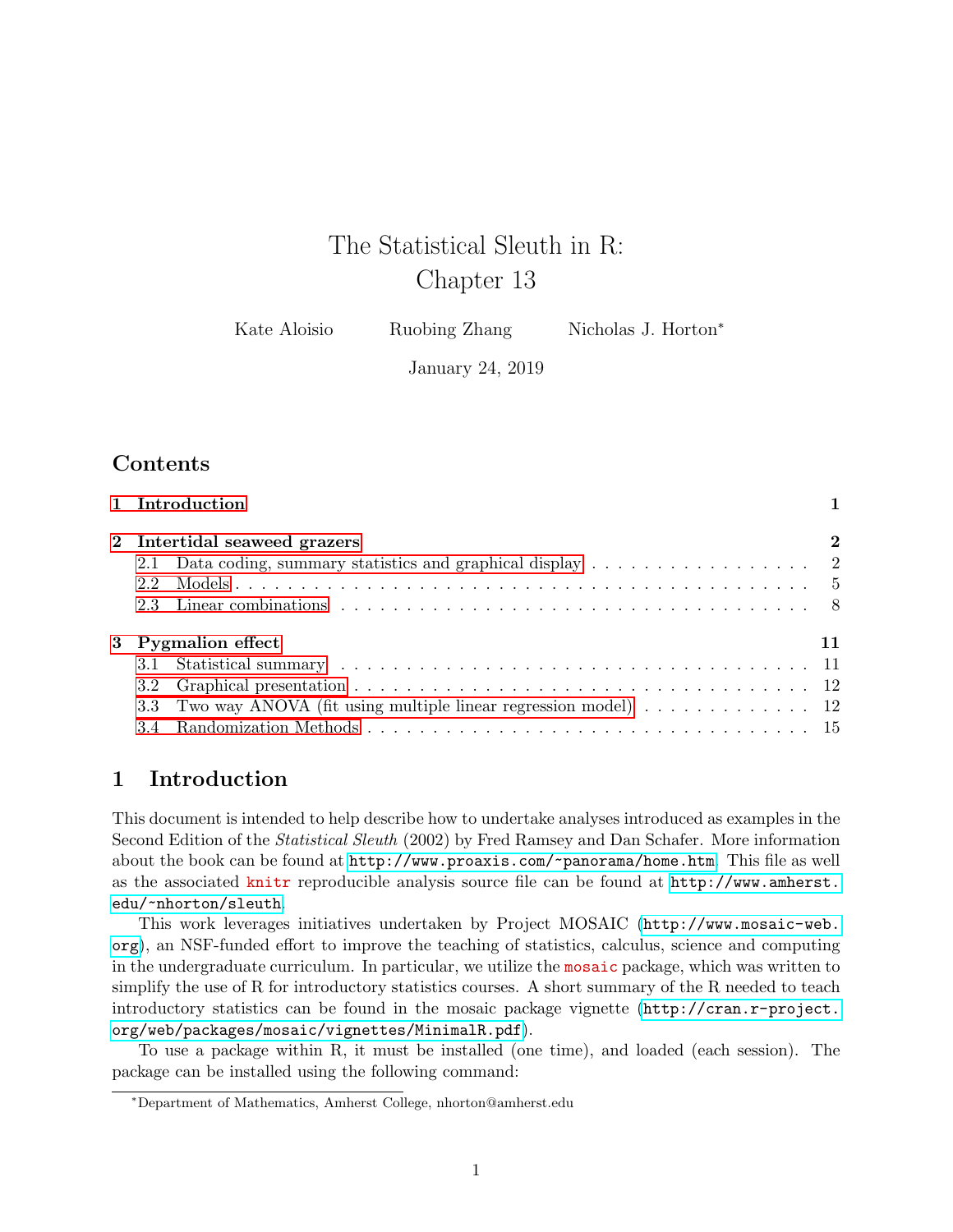# The Statistical Sleuth in R: Chapter 13

| Kate Aloisio | Ruobing Zhang | Nicholas J. Horton <sup>*</sup> |
|--------------|---------------|---------------------------------|
|              |               |                                 |

January 24, 2019

# **Contents**

|     |                                                                                             | $\bf{2}$                                                                                                                                  |
|-----|---------------------------------------------------------------------------------------------|-------------------------------------------------------------------------------------------------------------------------------------------|
| 2.1 | Data coding, summary statistics and graphical display $\dots \dots \dots \dots \dots \dots$ |                                                                                                                                           |
| 2.2 |                                                                                             |                                                                                                                                           |
|     |                                                                                             |                                                                                                                                           |
|     |                                                                                             |                                                                                                                                           |
| 3.1 |                                                                                             |                                                                                                                                           |
|     |                                                                                             |                                                                                                                                           |
|     |                                                                                             |                                                                                                                                           |
|     |                                                                                             |                                                                                                                                           |
|     |                                                                                             | 1 Introduction<br>2 Intertidal seaweed grazers<br>3 Pygmalion effect<br>3.3 Two way ANOVA (fit using multiple linear regression model) 12 |

# <span id="page-0-0"></span>1 Introduction

This document is intended to help describe how to undertake analyses introduced as examples in the Second Edition of the Statistical Sleuth (2002) by Fred Ramsey and Dan Schafer. More information about the book can be found at <http://www.proaxis.com/~panorama/home.htm>. This file as well as the associated knitr reproducible analysis source file can be found at [http://www.amherst.](http://www.amherst.edu/~nhorton/sleuth) [edu/~nhorton/sleuth](http://www.amherst.edu/~nhorton/sleuth).

This work leverages initiatives undertaken by Project MOSAIC ([http://www.mosaic-web.](http://www.mosaic-web.org) [org](http://www.mosaic-web.org)), an NSF-funded effort to improve the teaching of statistics, calculus, science and computing in the undergraduate curriculum. In particular, we utilize the mosaic package, which was written to simplify the use of R for introductory statistics courses. A short summary of the R needed to teach introductory statistics can be found in the mosaic package vignette ([http://cran.r-project.](http://cran.r-project.org/web/packages/mosaic/vignettes/MinimalR.pdf) [org/web/packages/mosaic/vignettes/MinimalR.pdf](http://cran.r-project.org/web/packages/mosaic/vignettes/MinimalR.pdf)).

To use a package within R, it must be installed (one time), and loaded (each session). The package can be installed using the following command:

<sup>∗</sup>Department of Mathematics, Amherst College, nhorton@amherst.edu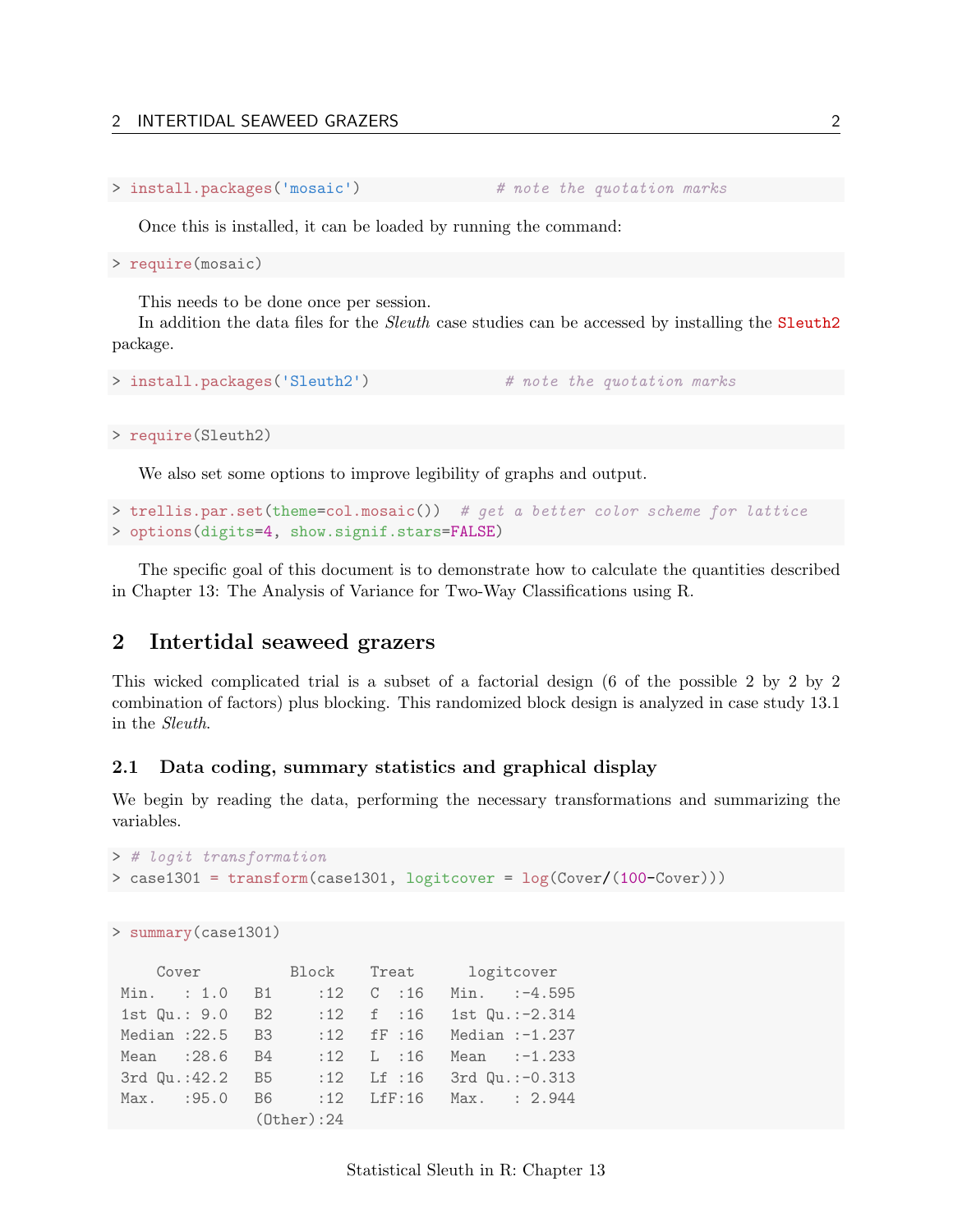```
> install.packages('mosaic') # note the quotation marks
```
Once this is installed, it can be loaded by running the command:

> require(mosaic)

This needs to be done once per session.

In addition the data files for the *Sleuth* case studies can be accessed by installing the **Sleuth2** package.

```
> install.packages('Sleuth2') # note the quotation marks
```
> require(Sleuth2)

We also set some options to improve legibility of graphs and output.

```
> trellis.par.set(theme=col.mosaic()) # get a better color scheme for lattice
> options(digits=4, show.signif.stars=FALSE)
```
The specific goal of this document is to demonstrate how to calculate the quantities described in Chapter 13: The Analysis of Variance for Two-Way Classifications using R.

# <span id="page-1-0"></span>2 Intertidal seaweed grazers

This wicked complicated trial is a subset of a factorial design (6 of the possible 2 by 2 by 2 combination of factors) plus blocking. This randomized block design is analyzed in case study 13.1 in the Sleuth.

#### <span id="page-1-1"></span>2.1 Data coding, summary statistics and graphical display

We begin by reading the data, performing the necessary transformations and summarizing the variables.

```
> # logit transformation
> case1301 = transform(case1301, logitcover = log(Cover/(100-Cover)))
```

```
> summary(case1301)
```

|               |                |                   | Cover Block Treat logitcover |         |  |                     |  |
|---------------|----------------|-------------------|------------------------------|---------|--|---------------------|--|
|               | Min. : 1.0 B1  |                   | :12                          | $C$ :16 |  | $Min.$ :-4.595      |  |
| 1st Qu.: 9.0  |                | <b>B2</b>         | $:12$ f $:16$                |         |  | 1st $Qu.:-2.314$    |  |
|               | Median $:22.5$ | B <sub>3</sub>    | $:12$ fF $:16$               |         |  | Median $:-1.237$    |  |
| Mean : 28.6   |                | <b>B4</b>         | $:12 \t L ::16$              |         |  | Mean $:-1.233$      |  |
| 3rd Qu.: 42.2 |                | B5 -              | $:12$ Lf $:16$               |         |  | $3rd$ Qu.: $-0.313$ |  |
| Max. : 95.0   |                | B6                | $:12$ LfF $:16$              |         |  | Max. : 2.944        |  |
|               |                | $(0$ ther $):$ 24 |                              |         |  |                     |  |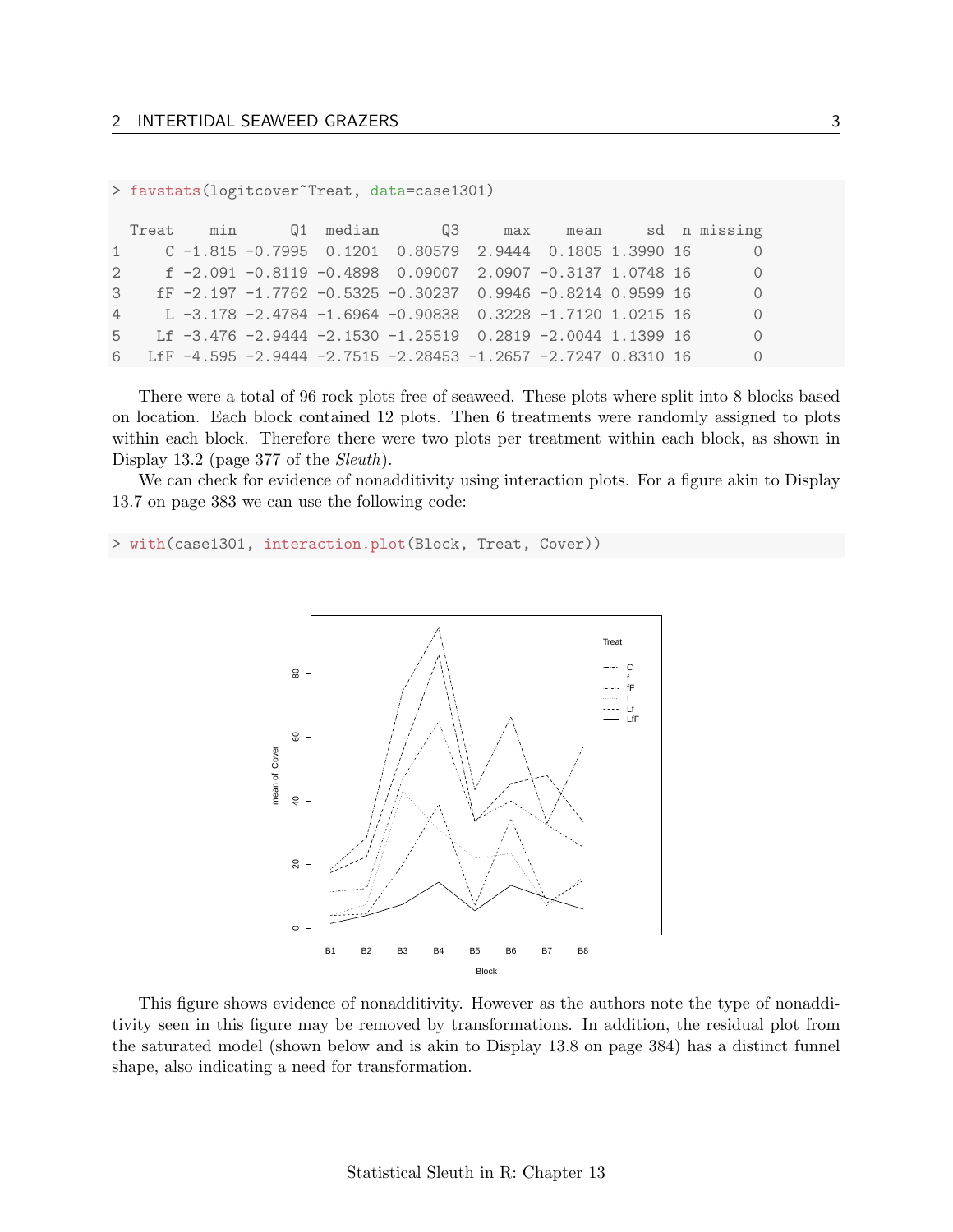#### > favstats(logitcover~Treat, data=case1301)

Treat min Q1 median Q3 max mean sd n missing 1 C -1.815 -0.7995 0.1201 0.80579 2.9444 0.1805 1.3990 16 0 2 f -2.091 -0.8119 -0.4898 0.09007 2.0907 -0.3137 1.0748 16 0 3 fF -2.197 -1.7762 -0.5325 -0.30237 0.9946 -0.8214 0.9599 16 0 4 L -3.178 -2.4784 -1.6964 -0.90838 0.3228 -1.7120 1.0215 16 0 5 Lf -3.476 -2.9444 -2.1530 -1.25519 0.2819 -2.0044 1.1399 16 0 6 LfF -4.595 -2.9444 -2.7515 -2.28453 -1.2657 -2.7247 0.8310 16 0

There were a total of 96 rock plots free of seaweed. These plots where split into 8 blocks based on location. Each block contained 12 plots. Then 6 treatments were randomly assigned to plots within each block. Therefore there were two plots per treatment within each block, as shown in Display 13.2 (page 377 of the *Sleuth*).

We can check for evidence of nonadditivity using interaction plots. For a figure akin to Display 13.7 on page 383 we can use the following code:

> with(case1301, interaction.plot(Block, Treat, Cover))



This figure shows evidence of nonadditivity. However as the authors note the type of nonadditivity seen in this figure may be removed by transformations. In addition, the residual plot from the saturated model (shown below and is akin to Display 13.8 on page 384) has a distinct funnel shape, also indicating a need for transformation.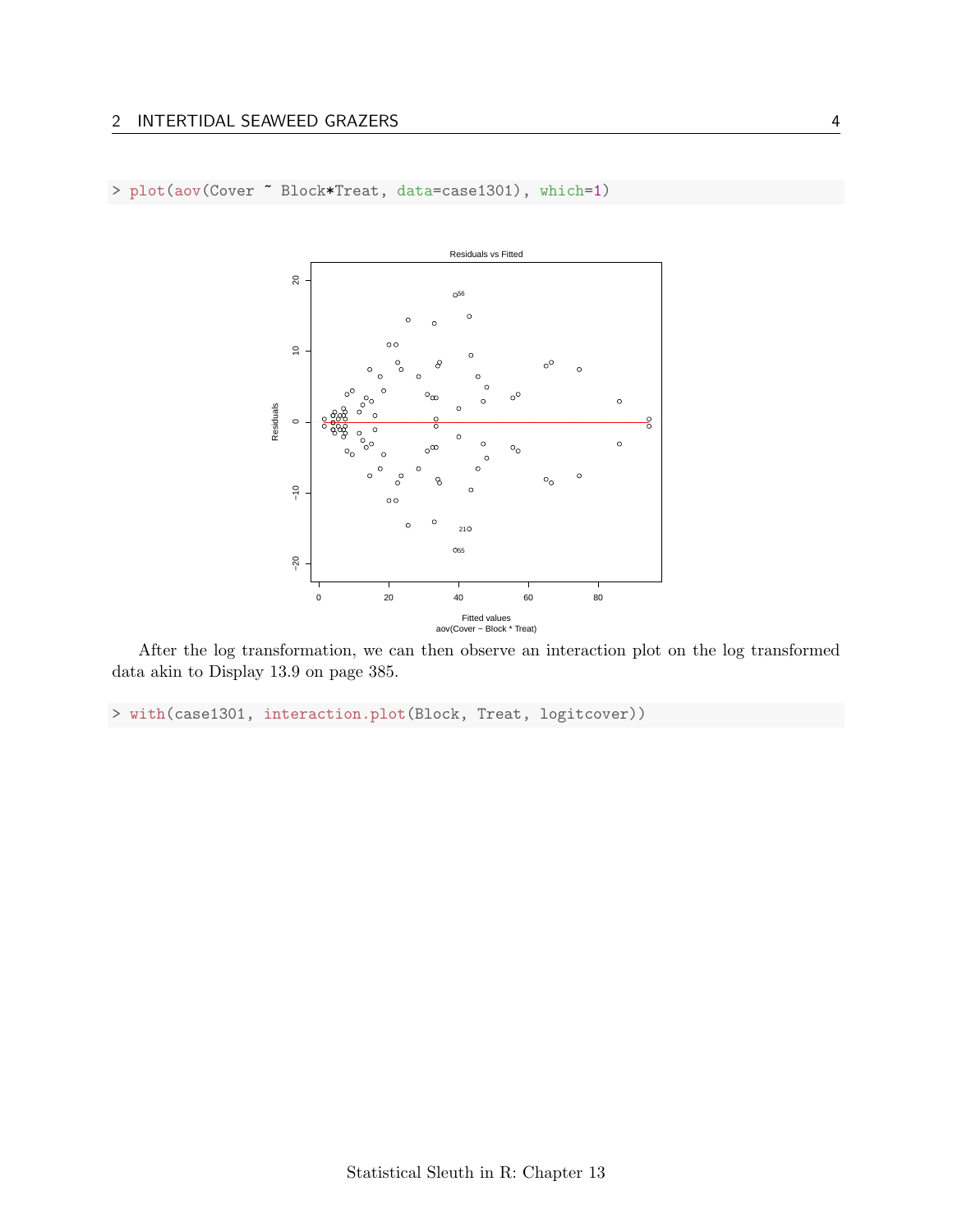

> plot(aov(Cover ~ Block\*Treat, data=case1301), which=1)

After the log transformation, we can then observe an interaction plot on the log transformed data akin to Display 13.9 on page 385.

> with(case1301, interaction.plot(Block, Treat, logitcover))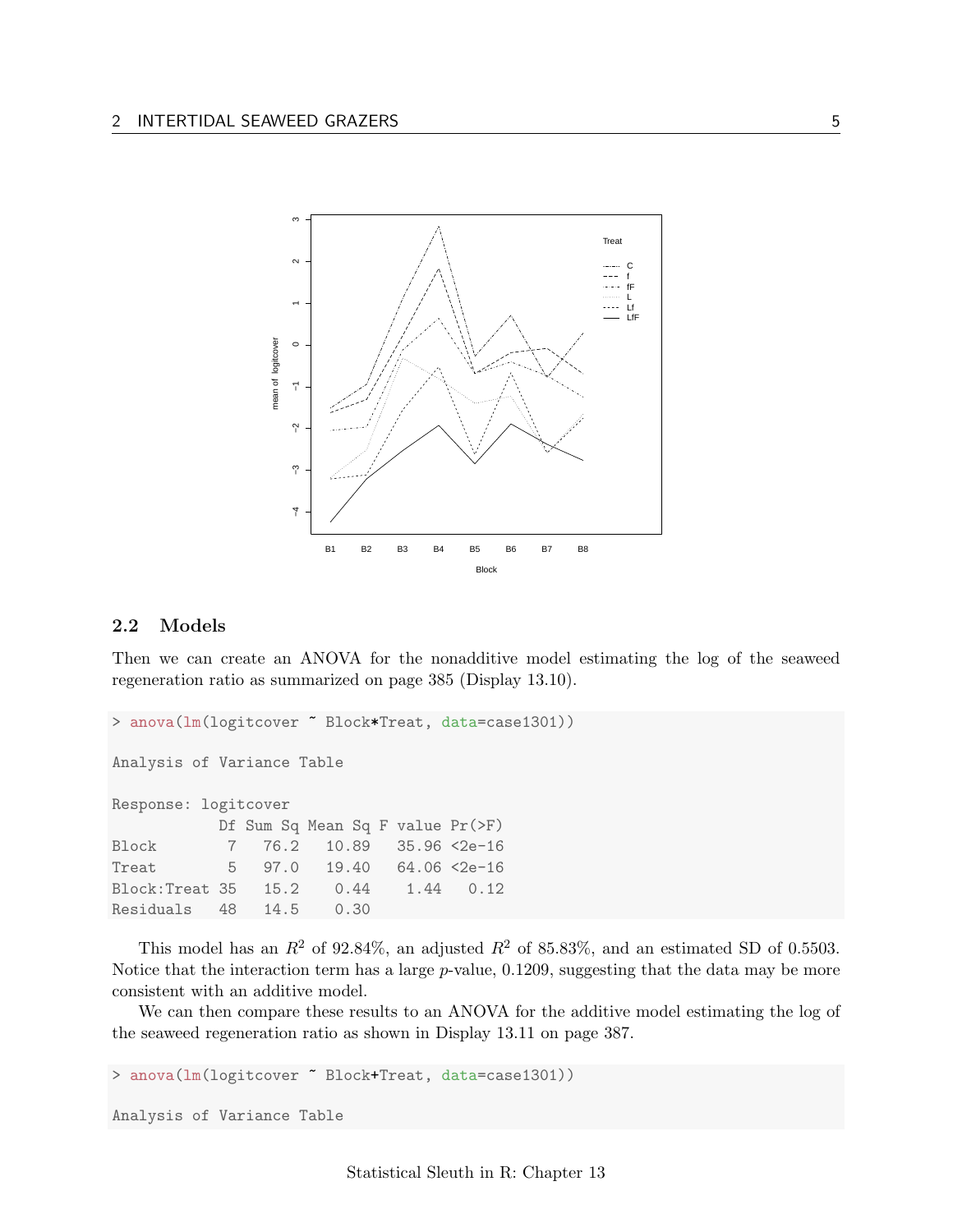

### <span id="page-4-0"></span>2.2 Models

Then we can create an ANOVA for the nonadditive model estimating the log of the seaweed regeneration ratio as summarized on page 385 (Display 13.10).

```
> anova(lm(logitcover ~ Block*Treat, data=case1301))
Analysis of Variance Table
Response: logitcover
          Df Sum Sq Mean Sq F value Pr(>F)
Block 7 76.2 10.89 35.96 <2e-16
Treat 5 97.0 19.40 64.06 <2e-16
Block:Treat 35 15.2 0.44 1.44 0.12
Residuals 48 14.5 0.30
```
This model has an  $R^2$  of 92.84%, an adjusted  $R^2$  of 85.83%, and an estimated SD of 0.5503. Notice that the interaction term has a large  $p$ -value, 0.1209, suggesting that the data may be more consistent with an additive model.

We can then compare these results to an ANOVA for the additive model estimating the log of the seaweed regeneration ratio as shown in Display 13.11 on page 387.

```
> anova(lm(logitcover ~ Block+Treat, data=case1301))
Analysis of Variance Table
```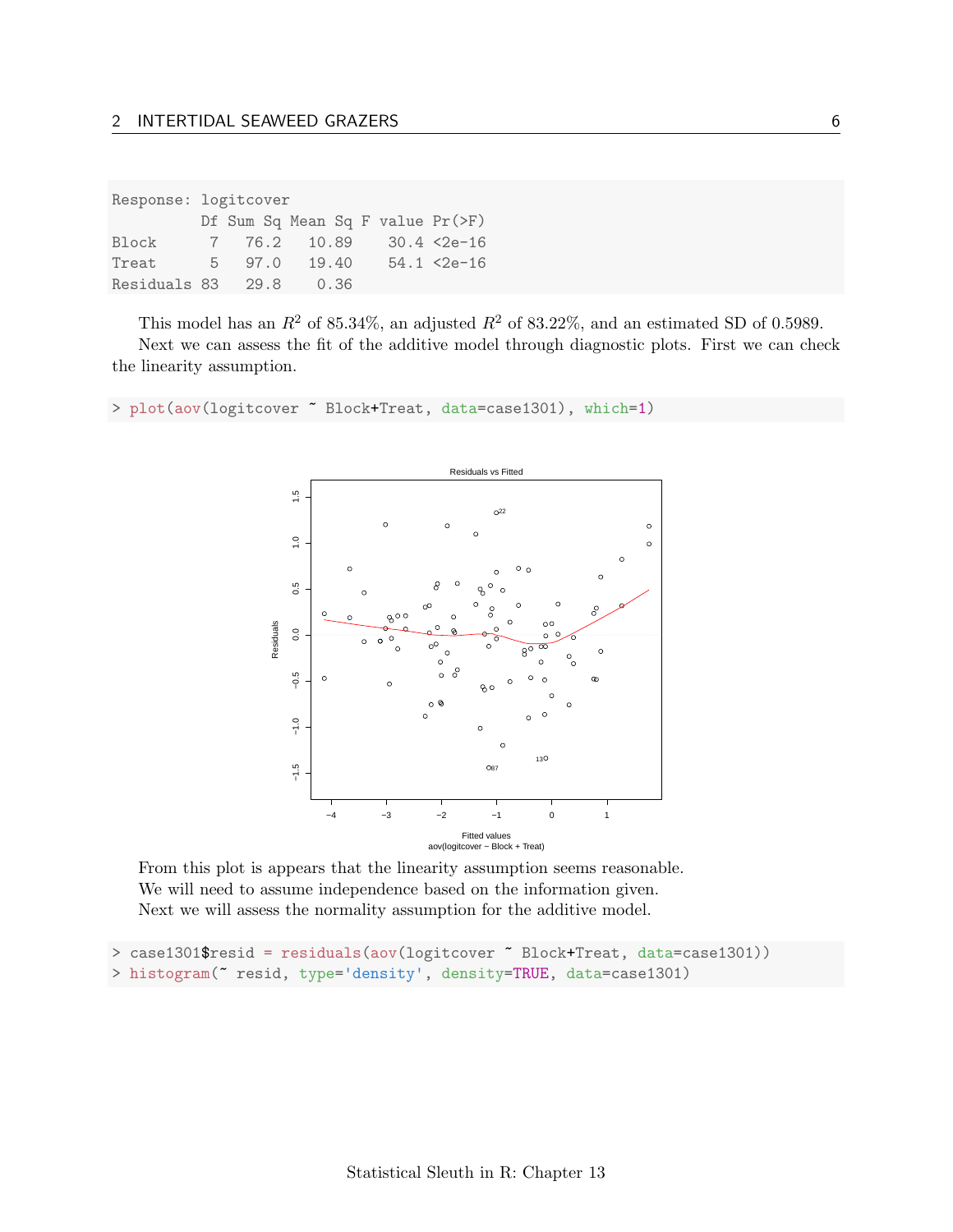Response: logitcover

|                        |  | Df Sum Sq Mean Sq F value Pr(>F) |  |                  |
|------------------------|--|----------------------------------|--|------------------|
| Block                  |  | 7 76.2 10.89 30.4 <2e-16         |  |                  |
| Treat 5 97.0 19.40     |  |                                  |  | $54.1 \le 2e-16$ |
| Residuals 83 29.8 0.36 |  |                                  |  |                  |

This model has an  $R^2$  of 85.34%, an adjusted  $R^2$  of 83.22%, and an estimated SD of 0.5989.

Next we can assess the fit of the additive model through diagnostic plots. First we can check the linearity assumption.

> plot(aov(logitcover ~ Block+Treat, data=case1301), which=1)



From this plot is appears that the linearity assumption seems reasonable. We will need to assume independence based on the information given. Next we will assess the normality assumption for the additive model.

```
> case1301$resid = residuals(aov(logitcover ~ Block+Treat, data=case1301))
> histogram(~ resid, type='density', density=TRUE, data=case1301)
```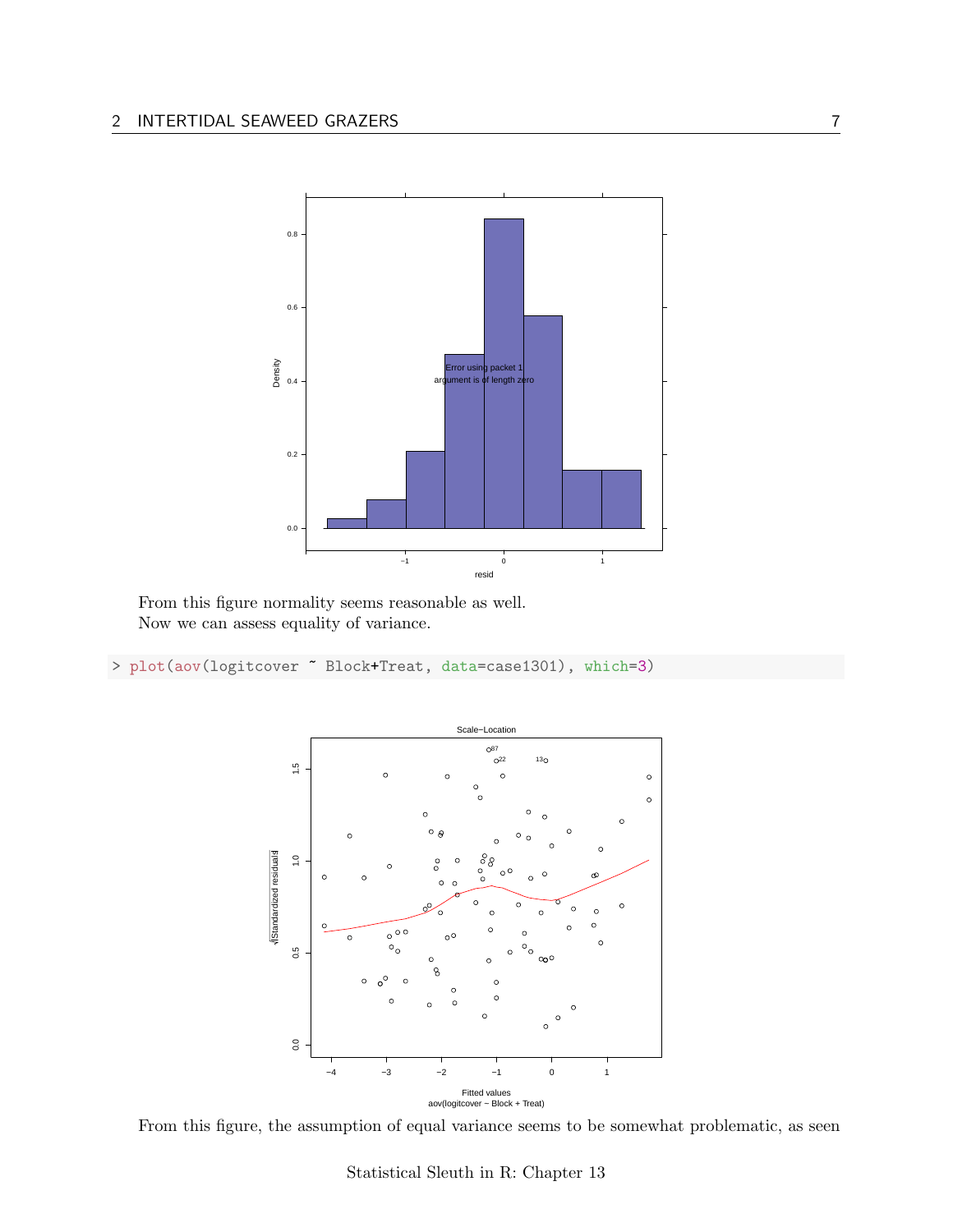

From this figure normality seems reasonable as well. Now we can assess equality of variance.

> plot(aov(logitcover ~ Block+Treat, data=case1301), which=3)



From this figure, the assumption of equal variance seems to be somewhat problematic, as seen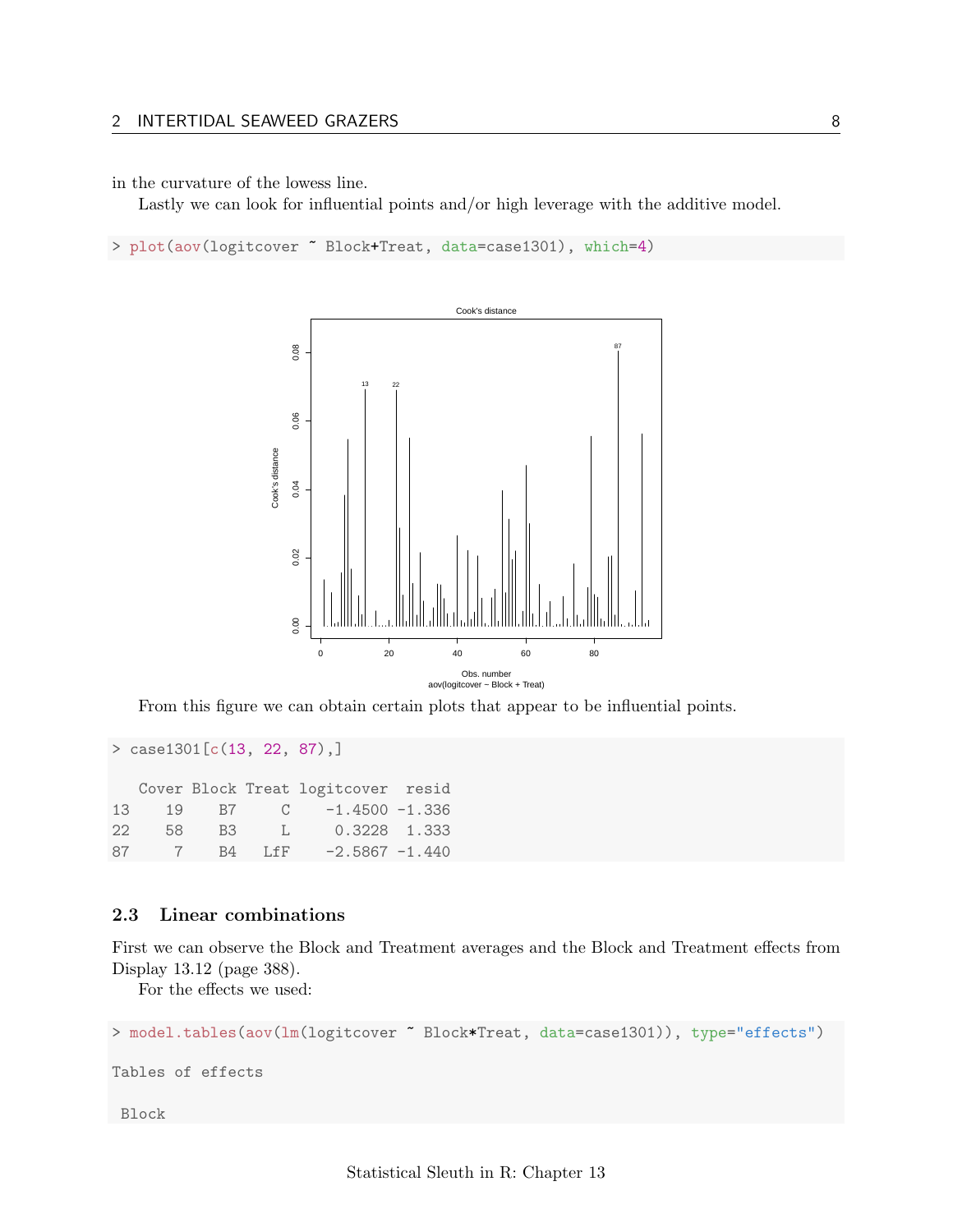#### in the curvature of the lowess line.

Lastly we can look for influential points and/or high leverage with the additive model.

> plot(aov(logitcover ~ Block+Treat, data=case1301), which=4)



From this figure we can obtain certain plots that appear to be influential points.

```
> case1301[c(13, 22, 87),]
```

|    |    |           |      | Cover Block Treat logitcover resid |  |
|----|----|-----------|------|------------------------------------|--|
|    |    |           |      | 13 19 B7 C -1.4500 -1.336          |  |
| 22 | 58 |           | B3 L | $0.3228$ 1.333                     |  |
| 87 |    | 7 B4 I.fF |      | $-2.5867 -1.440$                   |  |

### <span id="page-7-0"></span>2.3 Linear combinations

First we can observe the Block and Treatment averages and the Block and Treatment effects from Display 13.12 (page 388).

For the effects we used:

```
> model.tables(aov(lm(logitcover ~ Block*Treat, data=case1301)), type="effects")
Tables of effects
Block
```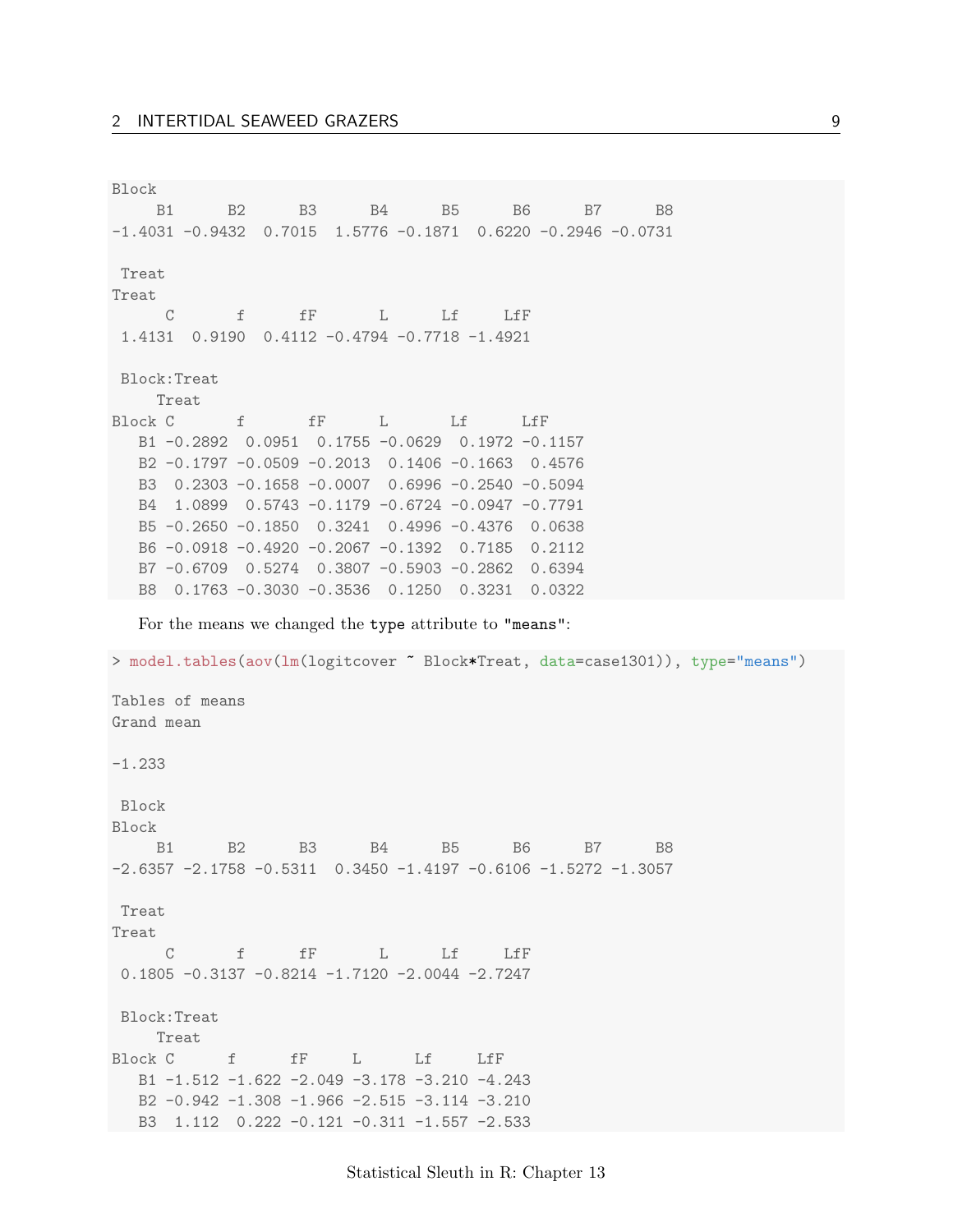Block B1 B2 B3 B4 B5 B6 B7 B8 -1.4031 -0.9432 0.7015 1.5776 -0.1871 0.6220 -0.2946 -0.0731 Treat Treat C f fF L Lf LfF 1.4131 0.9190 0.4112 -0.4794 -0.7718 -1.4921 Block:Treat Treat Block C f fF L Lf LfF B1 -0.2892 0.0951 0.1755 -0.0629 0.1972 -0.1157 B2 -0.1797 -0.0509 -0.2013 0.1406 -0.1663 0.4576 B3 0.2303 -0.1658 -0.0007 0.6996 -0.2540 -0.5094 B4 1.0899 0.5743 -0.1179 -0.6724 -0.0947 -0.7791 B5 -0.2650 -0.1850 0.3241 0.4996 -0.4376 0.0638 B6 -0.0918 -0.4920 -0.2067 -0.1392 0.7185 0.2112 B7 -0.6709 0.5274 0.3807 -0.5903 -0.2862 0.6394 B8 0.1763 -0.3030 -0.3536 0.1250 0.3231 0.0322

For the means we changed the type attribute to "means":

```
> model.tables(aov(lm(logitcover ~ Block*Treat, data=case1301)), type="means")
Tables of means
Grand mean
-1.233
Block
Block
   B1 B2 B3 B4 B5 B6 B7 B8
-2.6357 -2.1758 -0.5311 0.3450 -1.4197 -0.6106 -1.5272 -1.3057Treat
Treat
    C f fF L Lf LfF
0.1805 -0.3137 -0.8214 -1.7120 -2.0044 -2.7247
Block:Treat
   Treat
Block C f fF L Lf LfF
  B1 -1.512 -1.622 -2.049 -3.178 -3.210 -4.243
  B2 -0.942 -1.308 -1.966 -2.515 -3.114 -3.210
B3 1.112 0.222 -0.121 -0.311 -1.557 -2.533
```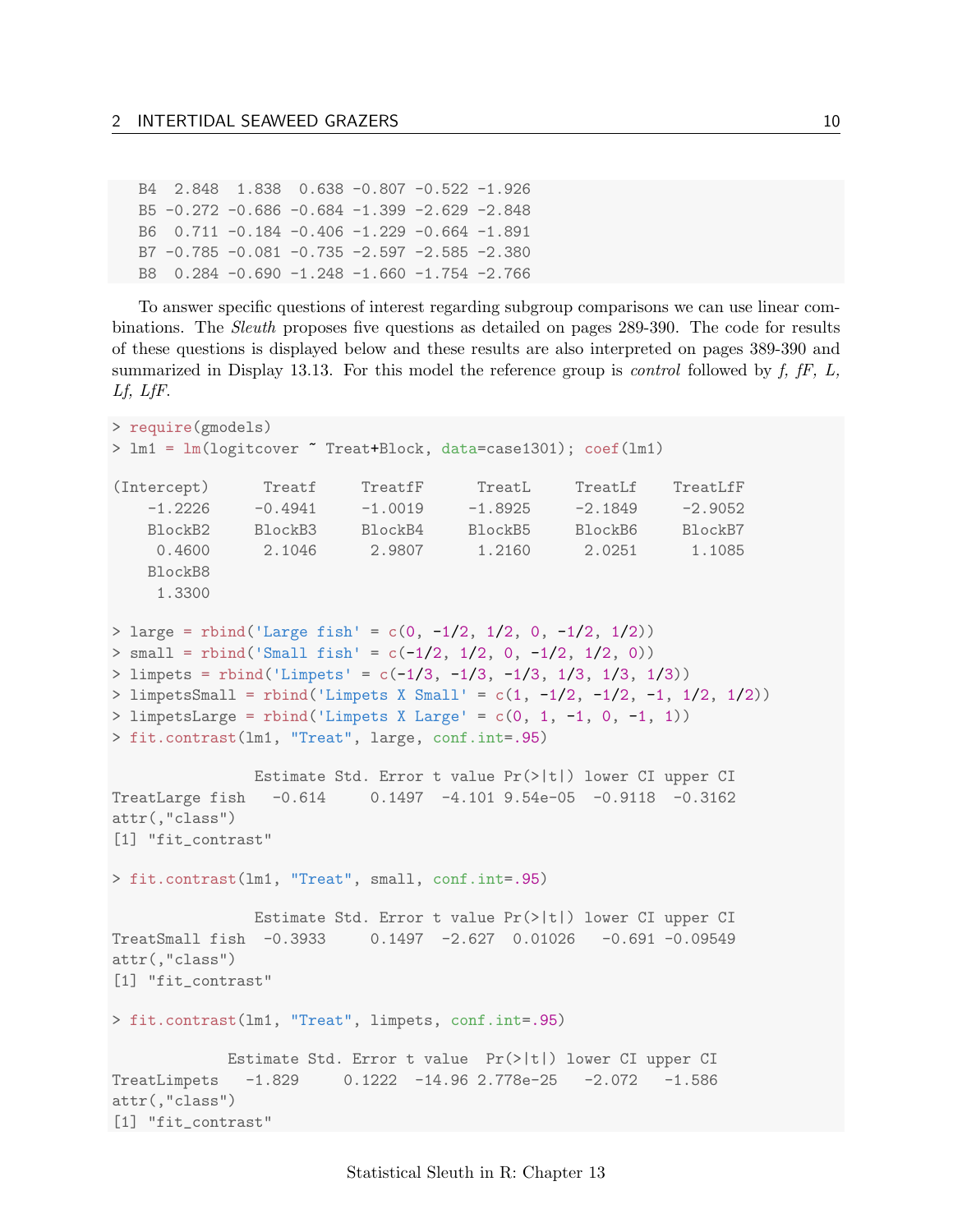B4 2.848 1.838 0.638 -0.807 -0.522 -1.926 B5 -0.272 -0.686 -0.684 -1.399 -2.629 -2.848 B6 0.711 -0.184 -0.406 -1.229 -0.664 -1.891 B7 -0.785 -0.081 -0.735 -2.597 -2.585 -2.380 B8 0.284 -0.690 -1.248 -1.660 -1.754 -2.766

To answer specific questions of interest regarding subgroup comparisons we can use linear combinations. The Sleuth proposes five questions as detailed on pages 289-390. The code for results of these questions is displayed below and these results are also interpreted on pages 389-390 and summarized in Display 13.13. For this model the reference group is *control* followed by  $f$ ,  $fF$ ,  $L$ , Lf, LfF.

```
> require(gmodels)
> lm1 = lm(logitcover ~ Treat+Block, data=case1301); coef(lm1)
(Intercept) Treatf TreatfF TreatL TreatLf TreatLfF
    -1.2226 -0.4941 -1.0019 -1.8925 -2.1849 -2.9052
    BlockB2 BlockB3 BlockB4 BlockB5 BlockB6 BlockB7
    0.4600 2.1046 2.9807 1.2160 2.0251 1.1085
   BlockB8
    1.3300
> large = rbind('Large fish' = c(0, -1/2, 1/2, 0, -1/2, 1/2))
> small = rbind('Small fish' = c(-1/2, 1/2, 0, -1/2, 1/2, 0))
> limpets = rbind('Limpets' = c(-1/3, -1/3, -1/3, 1/3, 1/3, 1/3))
> limpetsSmall = rbind('Limpets X Small' = c(1, -1/2, -1/2, -1, 1/2, 1/2))
> limpetsLarge = rbind('Limpets X Large' = c(0, 1, -1, 0, -1, 1))
> fit.contrast(lm1, "Treat", large, conf.int=.95)
              Estimate Std. Error t value Pr(>|t|) lower CI upper CI
TreatLarge fish -0.614 0.1497 -4.101 9.54e-05 -0.9118 -0.3162
attr(,"class")
[1] "fit_contrast"
> fit.contrast(lm1, "Treat", small, conf.int=.95)
              Estimate Std. Error t value Pr(>|t|) lower CI upper CI
TreatSmall fish -0.3933 0.1497 -2.627 0.01026 -0.691 -0.09549
attr(,"class")
[1] "fit_contrast"
> fit.contrast(lm1, "Treat", limpets, conf.int=.95)
            Estimate Std. Error t value Pr(>|t|) lower CI upper CI
TreatLimpets -1.829 0.1222 -14.96 2.778e-25 -2.072 -1.586
attr(,"class")
[1] "fit_contrast"
```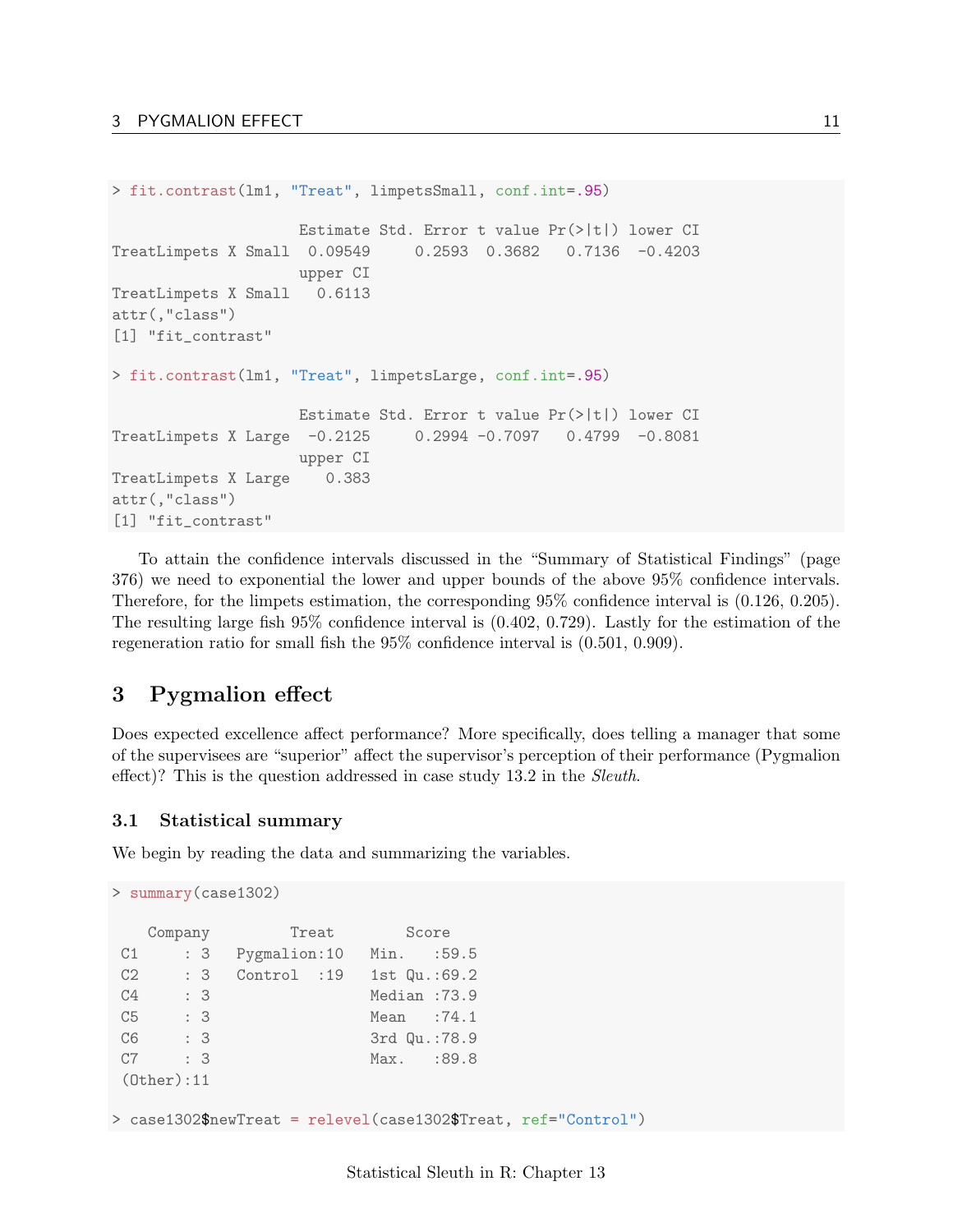```
> fit.contrast(lm1, "Treat", limpetsSmall, conf.int=.95)
                    Estimate Std. Error t value Pr(>|t|) lower CI
TreatLimpets X Small 0.09549 0.2593 0.3682 0.7136 -0.4203
                    upper CI
TreatLimpets X Small 0.6113
attr(,"class")
[1] "fit_contrast"
> fit.contrast(lm1, "Treat", limpetsLarge, conf.int=.95)
                    Estimate Std. Error t value Pr(>|t|) lower CI
TreatLimpets X Large -0.2125 0.2994 -0.7097 0.4799 -0.8081
                    upper CI
TreatLimpets X Large 0.383
attr(,"class")
[1] "fit_contrast"
```
To attain the confidence intervals discussed in the "Summary of Statistical Findings" (page 376) we need to exponential the lower and upper bounds of the above 95% confidence intervals. Therefore, for the limpets estimation, the corresponding 95% confidence interval is (0.126, 0.205). The resulting large fish 95% confidence interval is (0.402, 0.729). Lastly for the estimation of the regeneration ratio for small fish the 95% confidence interval is (0.501, 0.909).

# <span id="page-10-0"></span>3 Pygmalion effect

Does expected excellence affect performance? More specifically, does telling a manager that some of the supervisees are "superior" affect the supervisor's perception of their performance (Pygmalion effect)? This is the question addressed in case study 13.2 in the Sleuth.

### <span id="page-10-1"></span>3.1 Statistical summary

We begin by reading the data and summarizing the variables.

```
> summary(case1302)
  Company Treat Score
C1 : 3 Pygmalion:10 Min. :59.5
C2 : 3 Control :19 1st Qu.:69.2
C4 : 3 Median : 73.9
C5 : 3 Mean : 74.1
C6 : 3 3rd Qu.:78.9
C7 : 3 Max. : 89.8
(Other):11
> case1302$newTreat = relevel(case1302$Treat, ref="Control")
```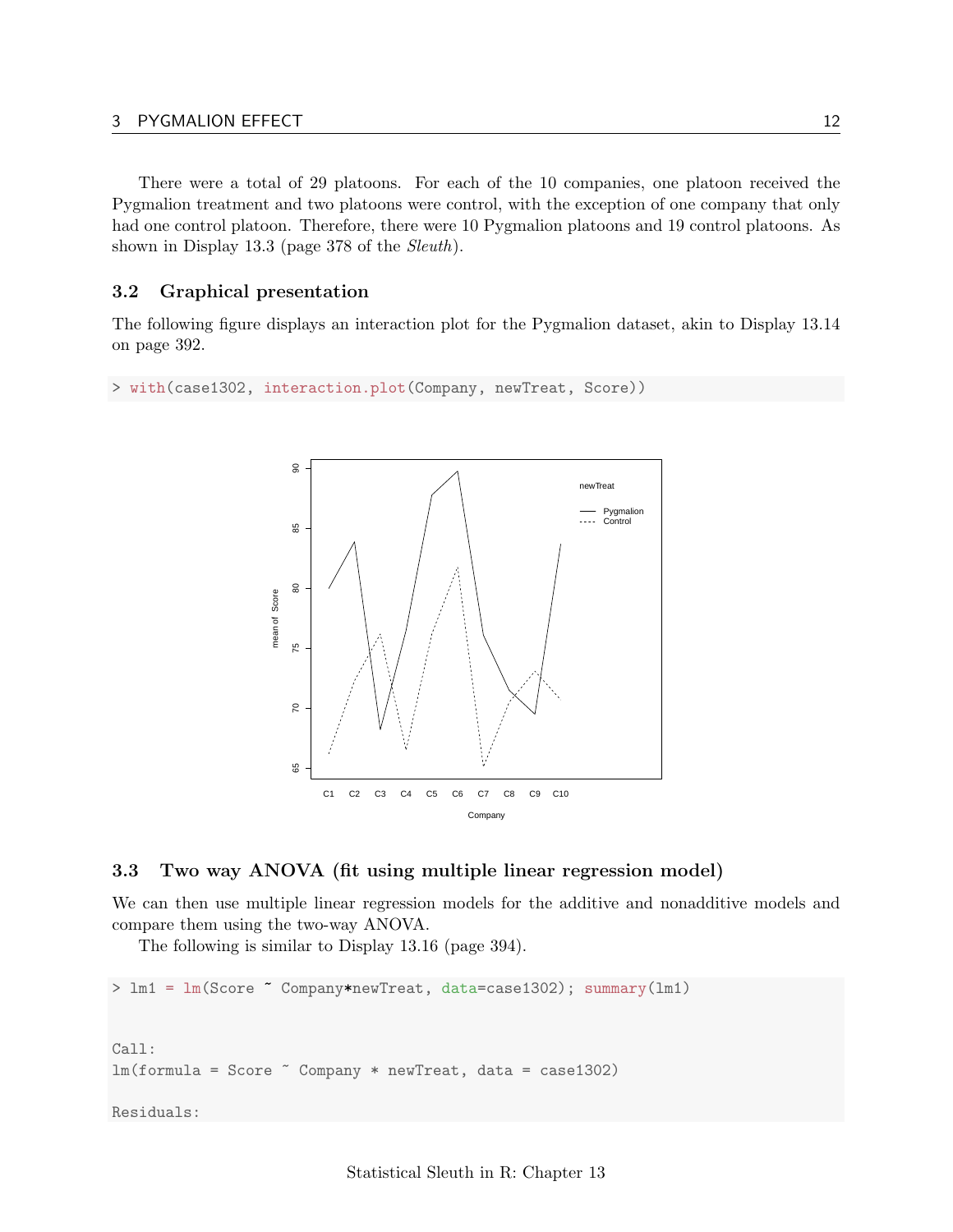### 3 PYGMALION EFFECT 12

There were a total of 29 platoons. For each of the 10 companies, one platoon received the Pygmalion treatment and two platoons were control, with the exception of one company that only had one control platoon. Therefore, there were 10 Pygmalion platoons and 19 control platoons. As shown in Display 13.3 (page 378 of the Sleuth).

# <span id="page-11-0"></span>3.2 Graphical presentation

The following figure displays an interaction plot for the Pygmalion dataset, akin to Display 13.14 on page 392.

> with(case1302, interaction.plot(Company, newTreat, Score))



### <span id="page-11-1"></span>3.3 Two way ANOVA (fit using multiple linear regression model)

We can then use multiple linear regression models for the additive and nonadditive models and compare them using the two-way ANOVA.

The following is similar to Display 13.16 (page 394).

```
> lm1 = lm(Score ~ Company*newTreat, data=case1302); summary(lm1)
Call:
lm(formula = Score \sim Company * newTree, data = case1302)Residuals:
```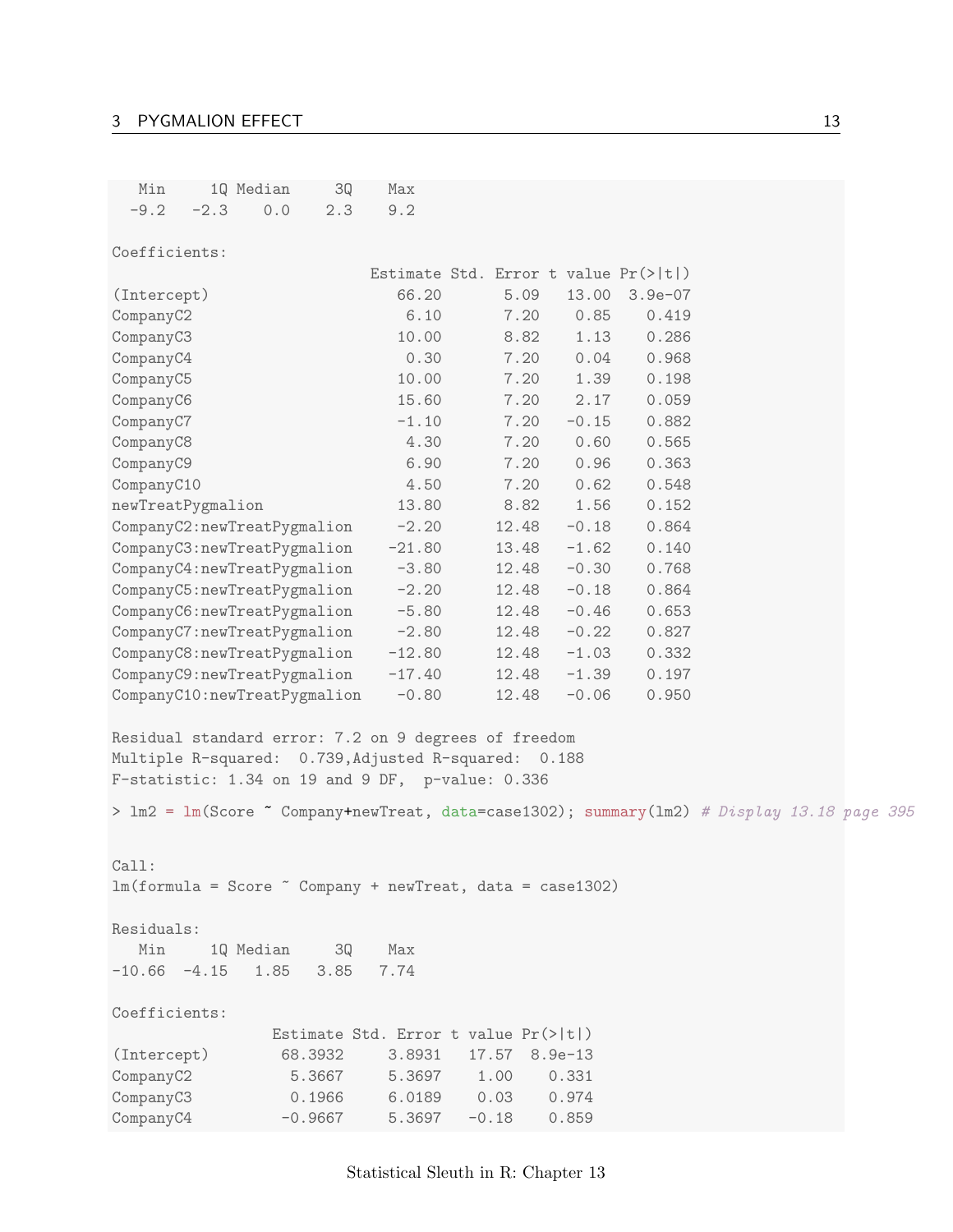### 3 PYGMALION EFFECT 13

| Min    |        | 10 Median | 30  | Max |
|--------|--------|-----------|-----|-----|
| $-9.2$ | $-2.3$ | 0.0       | 2.3 | 9.2 |

Coefficients:

|                              | Estimate Std. Error t |       |         | value $Pr(>\vert t \vert)$ |
|------------------------------|-----------------------|-------|---------|----------------------------|
| (Intercept)                  | 66.20                 | 5.09  | 13.00   | $3.9e-07$                  |
| CompanyC2                    | 6.10                  | 7.20  | 0.85    | 0.419                      |
| CompanyC3                    | 10.00                 | 8.82  | 1.13    | 0.286                      |
| CompanyC4                    | 0.30                  | 7.20  | 0.04    | 0.968                      |
| CompanyC5                    | 10.00                 | 7.20  | 1.39    | 0.198                      |
| CompanyC6                    | 15.60                 | 7.20  | 2.17    | 0.059                      |
| CompanyC7                    | $-1.10$               | 7.20  | $-0.15$ | 0.882                      |
| CompanyC8                    | 4.30                  | 7.20  | 0.60    | 0.565                      |
| CompanyC9                    | 6.90                  | 7.20  | 0.96    | 0.363                      |
| CompanyC10                   | 4.50                  | 7.20  | 0.62    | 0.548                      |
| newTreatPygmalion            | 13.80                 | 8.82  | 1.56    | 0.152                      |
| CompanyC2:newTreatPygmalion  | $-2.20$               | 12.48 | $-0.18$ | 0.864                      |
| CompanyC3:newTreatPygmalion  | $-21.80$              | 13.48 | $-1.62$ | 0.140                      |
| CompanyC4:newTreatPygmalion  | $-3.80$               | 12.48 | $-0.30$ | 0.768                      |
| CompanyC5:newTreatPygmalion  | $-2.20$               | 12.48 | $-0.18$ | 0.864                      |
| CompanyC6:newTreatPygmalion  | $-5.80$               | 12.48 | $-0.46$ | 0.653                      |
| CompanyC7:newTreatPygmalion  | $-2.80$               | 12.48 | $-0.22$ | 0.827                      |
| CompanyC8:newTreatPygmalion  | $-12.80$              | 12.48 | $-1.03$ | 0.332                      |
| CompanyC9:newTreatPygmalion  | $-17.40$              | 12.48 | $-1.39$ | 0.197                      |
| CompanyC10:newTreatPygmalion | $-0.80$               | 12.48 | $-0.06$ | 0.950                      |

Residual standard error: 7.2 on 9 degrees of freedom Multiple R-squared: 0.739,Adjusted R-squared: 0.188 F-statistic: 1.34 on 19 and 9 DF, p-value: 0.336

> lm2 = lm(Score " Company+newTreat, data=case1302); summary(lm2) # Display 13.18 page 395

Call:  $lm(formula = Score \sim Company + newTreat, data = case1302)$ 

Residuals:

Min 1Q Median 3Q Max -10.66 -4.15 1.85 3.85 7.74

Coefficients:

|             |           | Estimate Std. Error t value $Pr(>\vert t \vert)$ |         |         |
|-------------|-----------|--------------------------------------------------|---------|---------|
| (Intercept) | 68.3932   | 3.8931                                           | 17.57   | 8.9e-13 |
| CompanyC2   | 5.3667    | 5.3697                                           | 1.00    | 0.331   |
| CompanyC3   | 0.1966    | 6.0189                                           | 0.03    | 0.974   |
| CompanyC4   | $-0.9667$ | 5.3697                                           | $-0.18$ | 0.859   |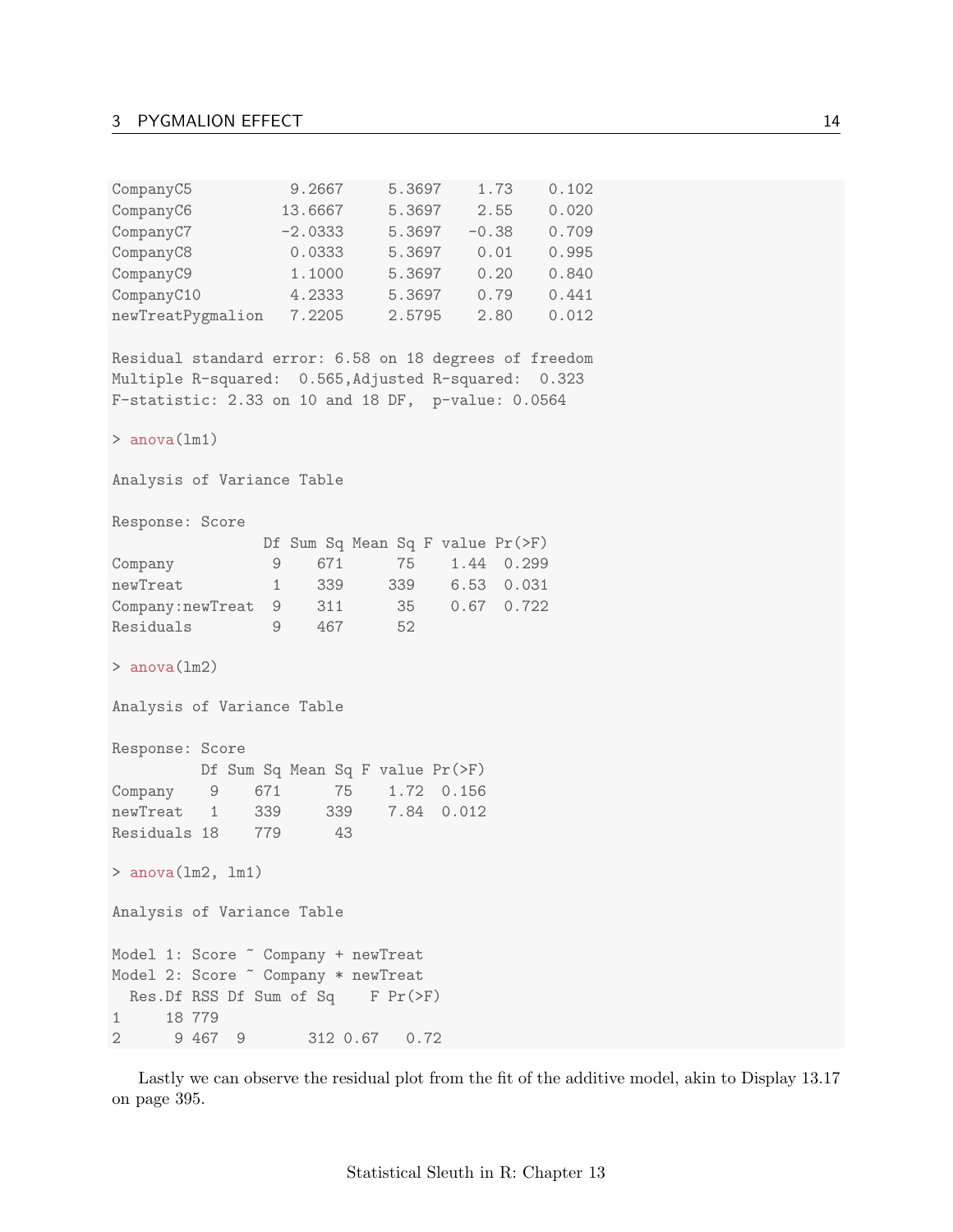# 3 PYGMALION EFFECT 14

| CompanyC5         | 9.2667    | 5.3697 | 1.73    | 0.102 |
|-------------------|-----------|--------|---------|-------|
| CompanyC6         | 13.6667   | 5.3697 | 2.55    | 0.020 |
| CompanyC7         | $-2.0333$ | 5.3697 | $-0.38$ | 0.709 |
| CompanyC8         | 0.0333    | 5.3697 | 0.01    | 0.995 |
| CompanyC9         | 1.1000    | 5.3697 | 0.20    | 0.840 |
| CompanyC10        | 4.2333    | 5.3697 | 0.79    | 0.441 |
| newTreatPygmalion | 7.2205    | 2.5795 | 2.80    | 0.012 |

Residual standard error: 6.58 on 18 degrees of freedom Multiple R-squared: 0.565,Adjusted R-squared: 0.323 F-statistic: 2.33 on 10 and 18 DF, p-value: 0.0564

> anova(lm1)

Analysis of Variance Table

Response: Score

|                     |   |     | Df Sum Sq Mean Sq F value Pr(>F) |              |
|---------------------|---|-----|----------------------------------|--------------|
| Company             |   | 671 | 75                               | 1.44 0.299   |
| newTreat            |   | 339 | 339                              | 6.53 0.031   |
| Company: newTreat 9 |   | 311 | 35                               | $0.67$ 0.722 |
| Residuals           | 9 | 467 | 52.                              |              |

> anova(lm2)

1 18 779

Analysis of Variance Table

Response: Score Df Sum Sq Mean Sq F value Pr(>F) Company 9 671 75 1.72 0.156 newTreat 1 339 339 7.84 0.012 Residuals 18 779 43 > anova(lm2, lm1) Analysis of Variance Table Model 1: Score ~ Company + newTreat Model 2: Score ~ Company \* newTreat Res.Df RSS Df Sum of Sq F Pr(>F)

2 9 467 9 312 0.67 0.72

Lastly we can observe the residual plot from the fit of the additive model, akin to Display 13.17 on page 395.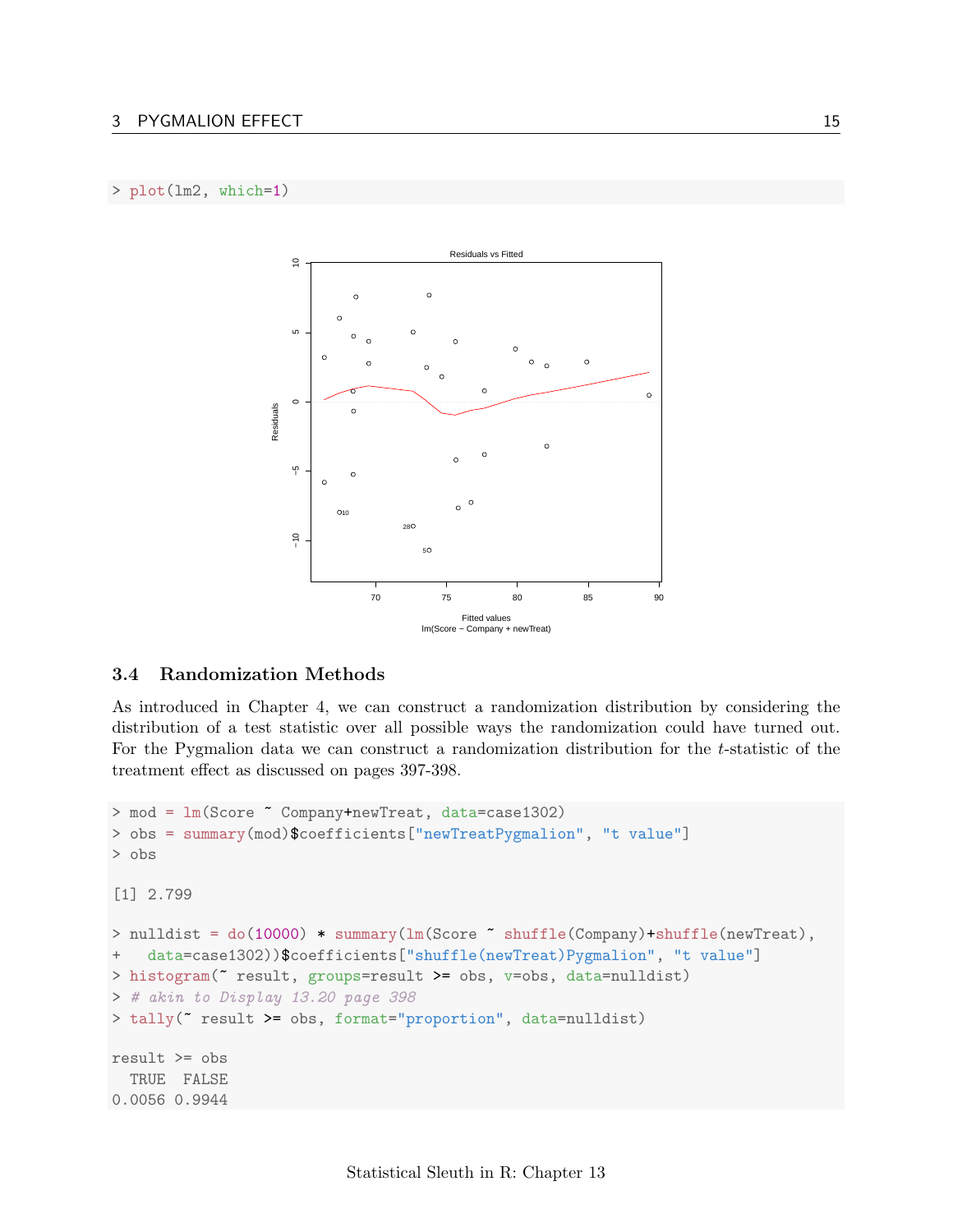### > plot(lm2, which=1)



# <span id="page-14-0"></span>3.4 Randomization Methods

As introduced in Chapter 4, we can construct a randomization distribution by considering the distribution of a test statistic over all possible ways the randomization could have turned out. For the Pygmalion data we can construct a randomization distribution for the  $t$ -statistic of the treatment effect as discussed on pages 397-398.

```
> mod = lm(Score ~ Company+newTreat, data=case1302)
> obs = summary(mod)$coefficients["newTreatPygmalion", "t value"]
> obs
[1] 2.799
> nulldist = do(10000) * summary(lm(Score ~ shuffle(Company)+shuffle(newTreat),
+ data=case1302))$coefficients["shuffle(newTreat)Pygmalion", "t value"]
> histogram(~ result, groups=result >= obs, v=obs, data=nulldist)
> # akin to Display 13.20 page 398
> tally(~ result >= obs, format="proportion", data=nulldist)
result >= obs
  TRUE FALSE
0.0056 0.9944
```